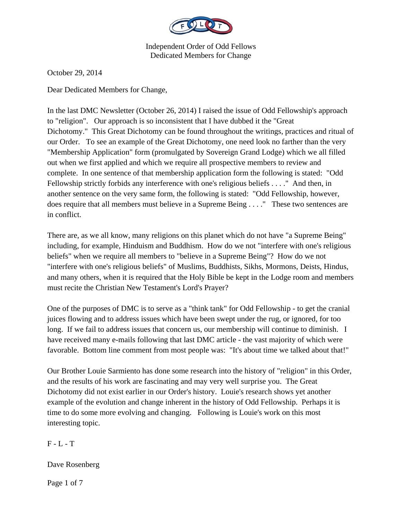

October 29, 2014

Dear Dedicated Members for Change,

In the last DMC Newsletter (October 26, 2014) I raised the issue of Odd Fellowship's approach to "religion". Our approach is so inconsistent that I have dubbed it the "Great Dichotomy." This Great Dichotomy can be found throughout the writings, practices and ritual of our Order. To see an example of the Great Dichotomy, one need look no farther than the very "Membership Application" form (promulgated by Sovereign Grand Lodge) which we all filled out when we first applied and which we require all prospective members to review and complete. In one sentence of that membership application form the following is stated: "Odd Fellowship strictly forbids any interference with one's religious beliefs . . . ." And then, in another sentence on the very same form, the following is stated: "Odd Fellowship, however, does require that all members must believe in a Supreme Being . . . ." These two sentences are in conflict.

There are, as we all know, many religions on this planet which do not have "a Supreme Being" including, for example, Hinduism and Buddhism. How do we not "interfere with one's religious beliefs" when we require all members to "believe in a Supreme Being"? How do we not "interfere with one's religious beliefs" of Muslims, Buddhists, Sikhs, Mormons, Deists, Hindus, and many others, when it is required that the Holy Bible be kept in the Lodge room and members must recite the Christian New Testament's Lord's Prayer?

One of the purposes of DMC is to serve as a "think tank" for Odd Fellowship - to get the cranial juices flowing and to address issues which have been swept under the rug, or ignored, for too long. If we fail to address issues that concern us, our membership will continue to diminish. I have received many e-mails following that last DMC article - the vast majority of which were favorable. Bottom line comment from most people was: "It's about time we talked about that!"

Our Brother Louie Sarmiento has done some research into the history of "religion" in this Order, and the results of his work are fascinating and may very well surprise you. The Great Dichotomy did not exist earlier in our Order's history. Louie's research shows yet another example of the evolution and change inherent in the history of Odd Fellowship. Perhaps it is time to do some more evolving and changing. Following is Louie's work on this most interesting topic.

## F - L - T

Dave Rosenberg

Page 1 of 7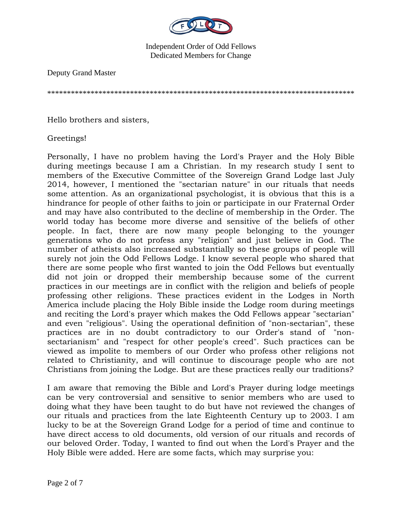

Deputy Grand Master

\*\*\*\*\*\*\*\*\*\*\*\*\*\*\*\*\*\*\*\*\*\*\*\*\*\*\*\*\*\*\*\*\*\*\*\*\*\*\*\*\*\*\*\*\*\*\*\*\*\*\*\*\*\*\*\*\*\*\*\*\*\*\*\*\*\*\*\*\*\*\*\*\*\*\*\*\*\*

Hello brothers and sisters,

Greetings!

Personally, I have no problem having the Lord's Prayer and the Holy Bible during meetings because I am a Christian. In my research study I sent to members of the Executive Committee of the Sovereign Grand Lodge last July 2014, however, I mentioned the "sectarian nature" in our rituals that needs some attention. As an organizational psychologist, it is obvious that this is a hindrance for people of other faiths to join or participate in our Fraternal Order and may have also contributed to the decline of membership in the Order. The world today has become more diverse and sensitive of the beliefs of other people. In fact, there are now many people belonging to the younger generations who do not profess any "religion" and just believe in God. The number of atheists also increased substantially so these groups of people will surely not join the Odd Fellows Lodge. I know several people who shared that there are some people who first wanted to join the Odd Fellows but eventually did not join or dropped their membership because some of the current practices in our meetings are in conflict with the religion and beliefs of people professing other religions. These practices evident in the Lodges in North America include placing the Holy Bible inside the Lodge room during meetings and reciting the Lord's prayer which makes the Odd Fellows appear "sectarian" and even "religious". Using the operational definition of "non-sectarian", these practices are in no doubt contradictory to our Order's stand of "nonsectarianism" and "respect for other people's creed". Such practices can be viewed as impolite to members of our Order who profess other religions not related to Christianity, and will continue to discourage people who are not Christians from joining the Lodge. But are these practices really our traditions?

I am aware that removing the Bible and Lord's Prayer during lodge meetings can be very controversial and sensitive to senior members who are used to doing what they have been taught to do but have not reviewed the changes of our rituals and practices from the late Eighteenth Century up to 2003. I am lucky to be at the Sovereign Grand Lodge for a period of time and continue to have direct access to old documents, old version of our rituals and records of our beloved Order. Today, I wanted to find out when the Lord's Prayer and the Holy Bible were added. Here are some facts, which may surprise you: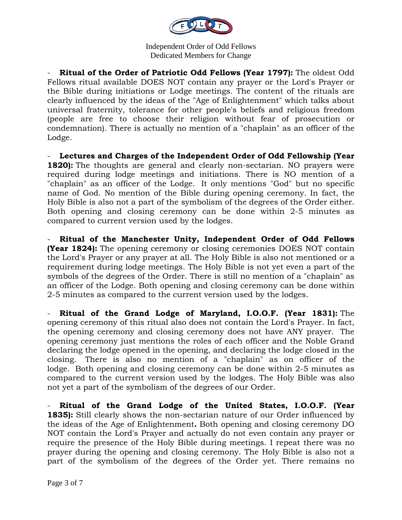

Ritual of the Order of Patriotic Odd Fellows (Year 1797): The oldest Odd Fellows ritual available DOES NOT contain any prayer or the Lord's Prayer or the Bible during initiations or Lodge meetings. The content of the rituals are clearly influenced by the ideas of the "Age of Enlightenment" which talks about universal fraternity, tolerance for other people's beliefs and religious freedom (people are free to choose their religion without fear of prosecution or condemnation). There is actually no mention of a "chaplain" as an officer of the Lodge.

Lectures and Charges of the Independent Order of Odd Fellowship (Year **1820):** The thoughts are general and clearly non-sectarian. NO prayers were required during lodge meetings and initiations. There is NO mention of a "chaplain" as an officer of the Lodge. It only mentions "God" but no specific name of God. No mention of the Bible during opening ceremony. In fact, the Holy Bible is also not a part of the symbolism of the degrees of the Order either. Both opening and closing ceremony can be done within 2-5 minutes as compared to current version used by the lodges.

- **Ritual of the Manchester Unity, Independent Order of Odd Fellows (Year 1824):** The opening ceremony or closing ceremonies DOES NOT contain the Lord's Prayer or any prayer at all. The Holy Bible is also not mentioned or a requirement during lodge meetings. The Holy Bible is not yet even a part of the symbols of the degrees of the Order. There is still no mention of a "chaplain" as an officer of the Lodge. Both opening and closing ceremony can be done within 2-5 minutes as compared to the current version used by the lodges.

- **Ritual of the Grand Lodge of Maryland, I.O.O.F. (Year 1831):** The opening ceremony of this ritual also does not contain the Lord's Prayer. In fact, the opening ceremony and closing ceremony does not have ANY prayer. The opening ceremony just mentions the roles of each officer and the Noble Grand declaring the lodge opened in the opening, and declaring the lodge closed in the closing. There is also no mention of a "chaplain" as on officer of the lodge. Both opening and closing ceremony can be done within 2-5 minutes as compared to the current version used by the lodges. The Holy Bible was also not yet a part of the symbolism of the degrees of our Order.

- **Ritual of the Grand Lodge of the United States, I.O.O.F. (Year 1835):** Still clearly shows the non-sectarian nature of our Order influenced by the ideas of the Age of Enlightenment**.** Both opening and closing ceremony DO NOT contain the Lord's Prayer and actually do not even contain any prayer or require the presence of the Holy Bible during meetings. I repeat there was no prayer during the opening and closing ceremony. The Holy Bible is also not a part of the symbolism of the degrees of the Order yet. There remains no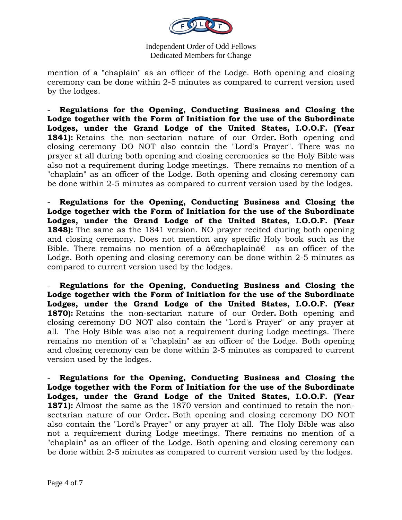

mention of a "chaplain" as an officer of the Lodge. Both opening and closing ceremony can be done within 2-5 minutes as compared to current version used by the lodges.

- **Regulations for the Opening, Conducting Business and Closing the Lodge together with the Form of Initiation for the use of the Subordinate Lodges, under the Grand Lodge of the United States, I.O.O.F. (Year 1841):** Retains the non-sectarian nature of our Order**.** Both opening and closing ceremony DO NOT also contain the "Lord's Prayer". There was no prayer at all during both opening and closing ceremonies so the Holy Bible was also not a requirement during Lodge meetings. There remains no mention of a "chaplain" as an officer of the Lodge. Both opening and closing ceremony can be done within 2-5 minutes as compared to current version used by the lodges.

- **Regulations for the Opening, Conducting Business and Closing the**  Lodge together with the Form of Initiation for the use of the Subordinate **Lodges, under the Grand Lodge of the United States, I.O.O.F. (Year 1848):** The same as the 1841 version. NO prayer recited during both opening and closing ceremony. Does not mention any specific Holy book such as the Bible. There remains no mention of a  $\hat{a}\hat{\epsilon}$  cechaplain $\hat{a}\hat{\epsilon}$  as an officer of the Lodge. Both opening and closing ceremony can be done within 2-5 minutes as compared to current version used by the lodges.

- **Regulations for the Opening, Conducting Business and Closing the Lodge together with the Form of Initiation for the use of the Subordinate Lodges, under the Grand Lodge of the United States, I.O.O.F. (Year 1870):** Retains the non-sectarian nature of our Order**.** Both opening and closing ceremony DO NOT also contain the "Lord's Prayer" or any prayer at all. The Holy Bible was also not a requirement during Lodge meetings. There remains no mention of a "chaplain" as an officer of the Lodge. Both opening and closing ceremony can be done within 2-5 minutes as compared to current version used by the lodges.

- **Regulations for the Opening, Conducting Business and Closing the Lodge together with the Form of Initiation for the use of the Subordinate Lodges, under the Grand Lodge of the United States, I.O.O.F. (Year 1871):** Almost the same as the 1870 version and continued to retain the nonsectarian nature of our Order**.** Both opening and closing ceremony DO NOT also contain the "Lord's Prayer" or any prayer at all. The Holy Bible was also not a requirement during Lodge meetings. There remains no mention of a "chaplain" as an officer of the Lodge. Both opening and closing ceremony can be done within 2-5 minutes as compared to current version used by the lodges.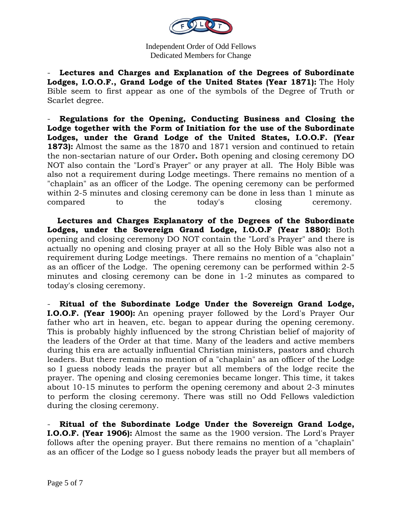

- **Lectures and Charges and Explanation of the Degrees of Subordinate Lodges, I.O.O.F., Grand Lodge of the United States (Year 1871):** The Holy Bible seem to first appear as one of the symbols of the Degree of Truth or Scarlet degree.

- **Regulations for the Opening, Conducting Business and Closing the Lodge together with the Form of Initiation for the use of the Subordinate Lodges, under the Grand Lodge of the United States, I.O.O.F. (Year 1873):** Almost the same as the 1870 and 1871 version and continued to retain the non-sectarian nature of our Order**.** Both opening and closing ceremony DO NOT also contain the "Lord's Prayer" or any prayer at all. The Holy Bible was also not a requirement during Lodge meetings. There remains no mention of a "chaplain" as an officer of the Lodge. The opening ceremony can be performed within 2-5 minutes and closing ceremony can be done in less than 1 minute as compared to the today's closing ceremony.

 **Lectures and Charges Explanatory of the Degrees of the Subordinate Lodges, under the Sovereign Grand Lodge, I.O.O.F (Year 1880):** Both opening and closing ceremony DO NOT contain the "Lord's Prayer" and there is actually no opening and closing prayer at all so the Holy Bible was also not a requirement during Lodge meetings. There remains no mention of a "chaplain" as an officer of the Lodge. The opening ceremony can be performed within 2-5 minutes and closing ceremony can be done in 1-2 minutes as compared to today's closing ceremony.

- **Ritual of the Subordinate Lodge Under the Sovereign Grand Lodge, I.O.O.F. (Year 1900):** An opening prayer followed by the Lord's Prayer Our father who art in heaven, etc. began to appear during the opening ceremony. This is probably highly influenced by the strong Christian belief of majority of the leaders of the Order at that time. Many of the leaders and active members during this era are actually influential Christian ministers, pastors and church leaders. But there remains no mention of a "chaplain" as an officer of the Lodge so I guess nobody leads the prayer but all members of the lodge recite the prayer. The opening and closing ceremonies became longer. This time, it takes about 10-15 minutes to perform the opening ceremony and about 2-3 minutes to perform the closing ceremony. There was still no Odd Fellows valediction during the closing ceremony.

- **Ritual of the Subordinate Lodge Under the Sovereign Grand Lodge, I.O.O.F. (Year 1906):** Almost the same as the 1900 version. The Lord's Prayer follows after the opening prayer. But there remains no mention of a "chaplain" as an officer of the Lodge so I guess nobody leads the prayer but all members of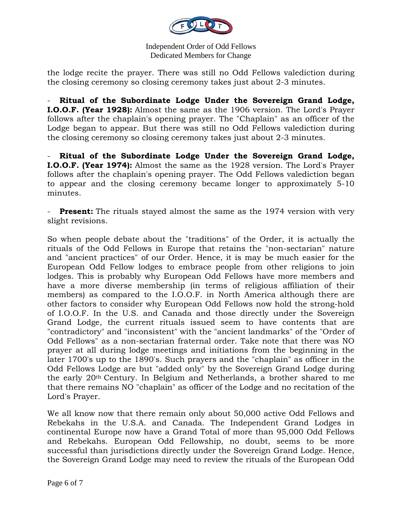

the lodge recite the prayer. There was still no Odd Fellows valediction during the closing ceremony so closing ceremony takes just about 2-3 minutes.

- **Ritual of the Subordinate Lodge Under the Sovereign Grand Lodge, I.O.O.F. (Year 1928):** Almost the same as the 1906 version. The Lord's Prayer follows after the chaplain's opening prayer. The "Chaplain" as an officer of the Lodge began to appear. But there was still no Odd Fellows valediction during the closing ceremony so closing ceremony takes just about 2-3 minutes.

- **Ritual of the Subordinate Lodge Under the Sovereign Grand Lodge, I.O.O.F. (Year 1974):** Almost the same as the 1928 version. The Lord's Prayer follows after the chaplain's opening prayer. The Odd Fellows valediction began to appear and the closing ceremony became longer to approximately 5-10 minutes.

**Present:** The rituals stayed almost the same as the 1974 version with very slight revisions.

So when people debate about the "traditions" of the Order, it is actually the rituals of the Odd Fellows in Europe that retains the "non-sectarian" nature and "ancient practices" of our Order. Hence, it is may be much easier for the European Odd Fellow lodges to embrace people from other religions to join lodges. This is probably why European Odd Fellows have more members and have a more diverse membership (in terms of religious affiliation of their members) as compared to the I.O.O.F. in North America although there are other factors to consider why European Odd Fellows now hold the strong-hold of I.O.O.F. In the U.S. and Canada and those directly under the Sovereign Grand Lodge, the current rituals issued seem to have contents that are "contradictory" and "inconsistent" with the "ancient landmarks" of the "Order of Odd Fellows" as a non-sectarian fraternal order. Take note that there was NO prayer at all during lodge meetings and initiations from the beginning in the later 1700's up to the 1890's. Such prayers and the "chaplain" as officer in the Odd Fellows Lodge are but "added only" by the Sovereign Grand Lodge during the early 20th Century. In Belgium and Netherlands, a brother shared to me that there remains NO "chaplain" as officer of the Lodge and no recitation of the Lord's Prayer.

We all know now that there remain only about 50,000 active Odd Fellows and Rebekahs in the U.S.A. and Canada. The Independent Grand Lodges in continental Europe now have a Grand Total of more than 95,000 Odd Fellows and Rebekahs. European Odd Fellowship, no doubt, seems to be more successful than jurisdictions directly under the Sovereign Grand Lodge. Hence, the Sovereign Grand Lodge may need to review the rituals of the European Odd